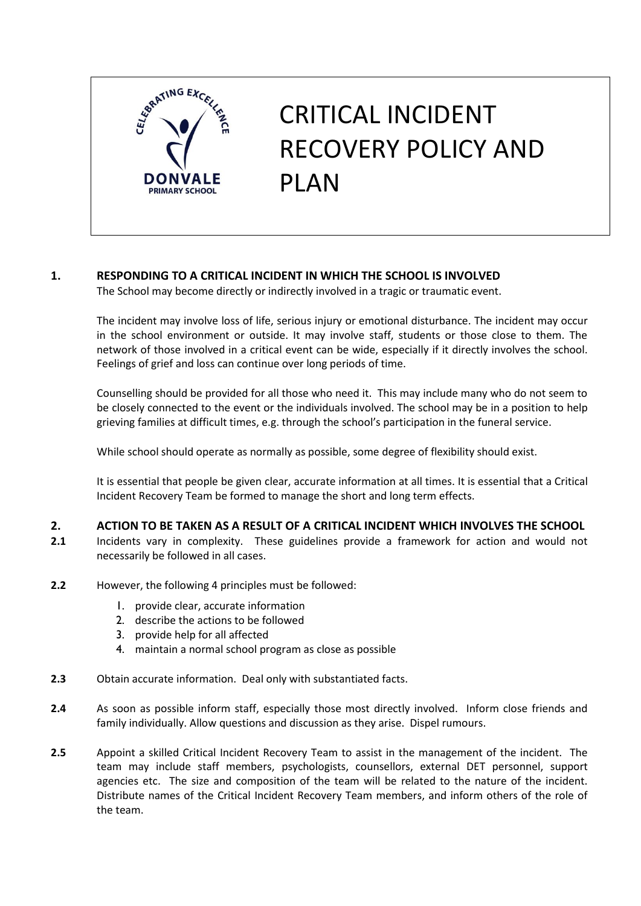

# CRITICAL INCIDENT RECOVERY POLICY AND PLAN

# **1. RESPONDING TO A CRITICAL INCIDENT IN WHICH THE SCHOOL IS INVOLVED**

The School may become directly or indirectly involved in a tragic or traumatic event.

The incident may involve loss of life, serious injury or emotional disturbance. The incident may occur in the school environment or outside. It may involve staff, students or those close to them. The network of those involved in a critical event can be wide, especially if it directly involves the school. Feelings of grief and loss can continue over long periods of time.

Counselling should be provided for all those who need it. This may include many who do not seem to be closely connected to the event or the individuals involved. The school may be in a position to help grieving families at difficult times, e.g. through the school's participation in the funeral service.

While school should operate as normally as possible, some degree of flexibility should exist.

It is essential that people be given clear, accurate information at all times. It is essential that a Critical Incident Recovery Team be formed to manage the short and long term effects.

## **2. ACTION TO BE TAKEN AS A RESULT OF A CRITICAL INCIDENT WHICH INVOLVES THE SCHOOL**

- **2.1** Incidents vary in complexity. These guidelines provide a framework for action and would not necessarily be followed in all cases.
- **2.2** However, the following 4 principles must be followed:
	- 1. provide clear, accurate information
	- 2. describe the actions to be followed
	- 3. provide help for all affected
	- 4. maintain a normal school program as close as possible
- **2.3** Obtain accurate information. Deal only with substantiated facts.
- **2.4** As soon as possible inform staff, especially those most directly involved. Inform close friends and family individually. Allow questions and discussion as they arise. Dispel rumours.
- **2.5** Appoint a skilled Critical Incident Recovery Team to assist in the management of the incident. The team may include staff members, psychologists, counsellors, external DET personnel, support agencies etc. The size and composition of the team will be related to the nature of the incident. Distribute names of the Critical Incident Recovery Team members, and inform others of the role of the team.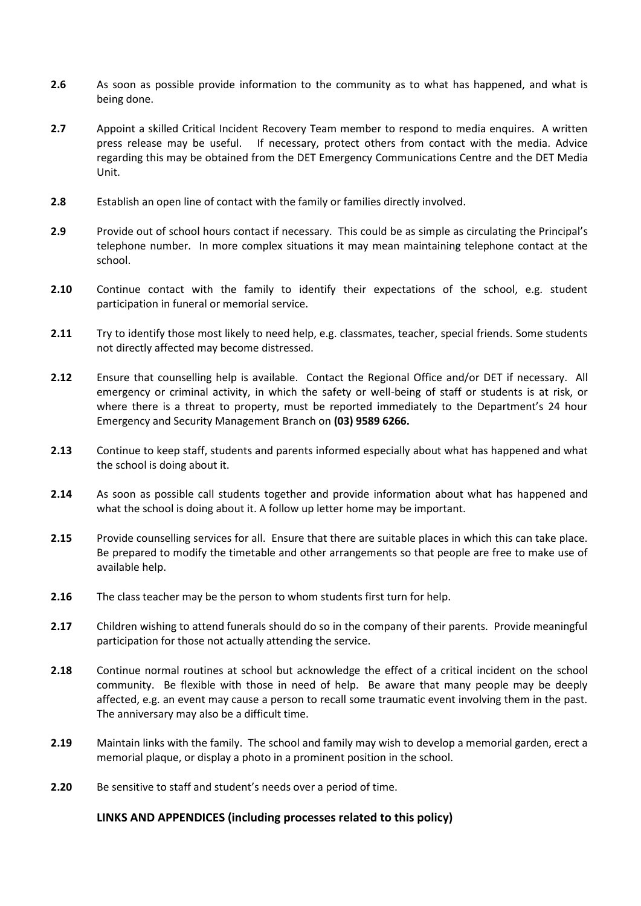- **2.6** As soon as possible provide information to the community as to what has happened, and what is being done.
- **2.7** Appoint a skilled Critical Incident Recovery Team member to respond to media enquires. A written press release may be useful. If necessary, protect others from contact with the media. Advice regarding this may be obtained from the DET Emergency Communications Centre and the DET Media Unit.
- **2.8** Establish an open line of contact with the family or families directly involved.
- **2.9** Provide out of school hours contact if necessary. This could be as simple as circulating the Principal's telephone number. In more complex situations it may mean maintaining telephone contact at the school.
- **2.10** Continue contact with the family to identify their expectations of the school, e.g. student participation in funeral or memorial service.
- **2.11** Try to identify those most likely to need help, e.g. classmates, teacher, special friends. Some students not directly affected may become distressed.
- **2.12** Ensure that counselling help is available. Contact the Regional Office and/or DET if necessary. All emergency or criminal activity, in which the safety or well-being of staff or students is at risk, or where there is a threat to property, must be reported immediately to the Department's 24 hour Emergency and Security Management Branch on **(03) 9589 6266.**
- **2.13** Continue to keep staff, students and parents informed especially about what has happened and what the school is doing about it.
- **2.14** As soon as possible call students together and provide information about what has happened and what the school is doing about it. A follow up letter home may be important.
- **2.15** Provide counselling services for all. Ensure that there are suitable places in which this can take place. Be prepared to modify the timetable and other arrangements so that people are free to make use of available help.
- **2.16** The class teacher may be the person to whom students first turn for help.
- **2.17** Children wishing to attend funerals should do so in the company of their parents. Provide meaningful participation for those not actually attending the service.
- **2.18** Continue normal routines at school but acknowledge the effect of a critical incident on the school community. Be flexible with those in need of help. Be aware that many people may be deeply affected, e.g. an event may cause a person to recall some traumatic event involving them in the past. The anniversary may also be a difficult time.
- **2.19** Maintain links with the family. The school and family may wish to develop a memorial garden, erect a memorial plaque, or display a photo in a prominent position in the school.
- **2.20** Be sensitive to staff and student's needs over a period of time.

#### **LINKS AND APPENDICES (including processes related to this policy)**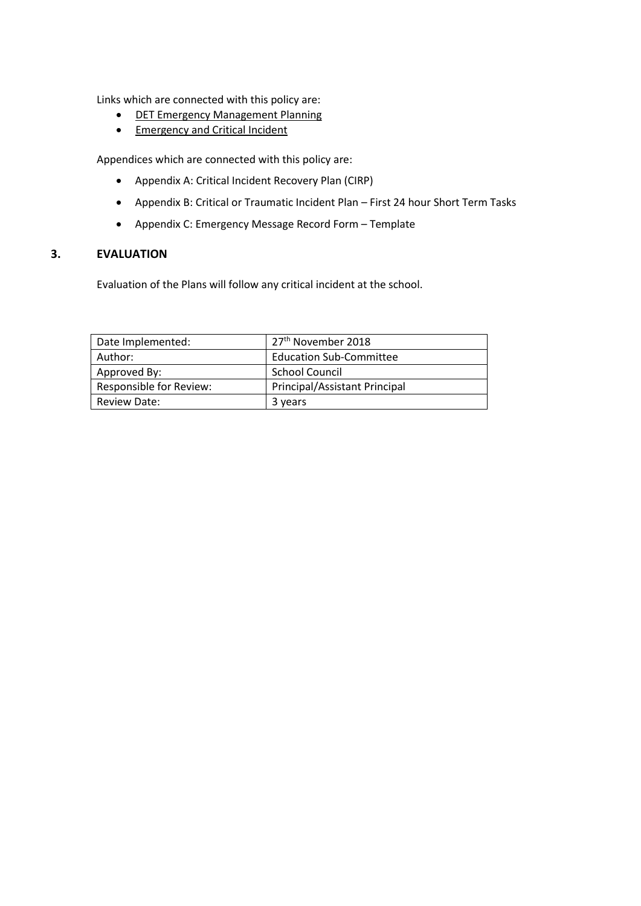Links which are connected with this policy are:

- DET [Emergency Management Planning](http://www.education.vic.gov.au/school/principals/spag/management/pages/mgtplanning.aspx)
- **[Emergency and Critical Incident](http://www.education.vic.gov.au/school/principals/spag/management/pages/emergency.aspx)**

Appendices which are connected with this policy are:

- Appendix A: Critical Incident Recovery Plan (CIRP)
- Appendix B: Critical or Traumatic Incident Plan First 24 hour Short Term Tasks
- Appendix C: Emergency Message Record Form Template

## **3. EVALUATION**

Evaluation of the Plans will follow any critical incident at the school.

| Date Implemented:              | 27 <sup>th</sup> November 2018 |
|--------------------------------|--------------------------------|
| Author:                        | <b>Education Sub-Committee</b> |
| Approved By:                   | <b>School Council</b>          |
| <b>Responsible for Review:</b> | Principal/Assistant Principal  |
| Review Date:                   | 3 years                        |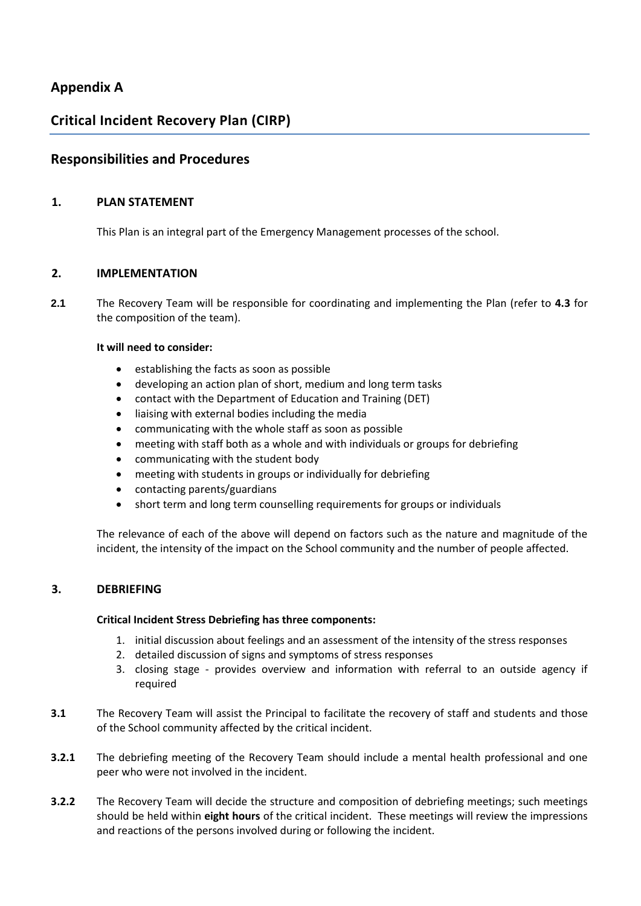# **Appendix A**

# **Critical Incident Recovery Plan (CIRP)**

# **Responsibilities and Procedures**

## **1. PLAN STATEMENT**

This Plan is an integral part of the Emergency Management processes of the school.

#### **2. IMPLEMENTATION**

**2.1** The Recovery Team will be responsible for coordinating and implementing the Plan (refer to **4.3** for the composition of the team).

#### **It will need to consider:**

- establishing the facts as soon as possible
- developing an action plan of short, medium and long term tasks
- contact with the Department of Education and Training (DET)
- liaising with external bodies including the media
- communicating with the whole staff as soon as possible
- meeting with staff both as a whole and with individuals or groups for debriefing
- communicating with the student body
- meeting with students in groups or individually for debriefing
- contacting parents/guardians
- short term and long term counselling requirements for groups or individuals

The relevance of each of the above will depend on factors such as the nature and magnitude of the incident, the intensity of the impact on the School community and the number of people affected.

## **3. DEBRIEFING**

#### **Critical Incident Stress Debriefing has three components:**

- 1. initial discussion about feelings and an assessment of the intensity of the stress responses
- 2. detailed discussion of signs and symptoms of stress responses
- 3. closing stage provides overview and information with referral to an outside agency if required
- **3.1** The Recovery Team will assist the Principal to facilitate the recovery of staff and students and those of the School community affected by the critical incident.
- **3.2.1** The debriefing meeting of the Recovery Team should include a mental health professional and one peer who were not involved in the incident.
- **3.2.2** The Recovery Team will decide the structure and composition of debriefing meetings; such meetings should be held within **eight hours** of the critical incident. These meetings will review the impressions and reactions of the persons involved during or following the incident.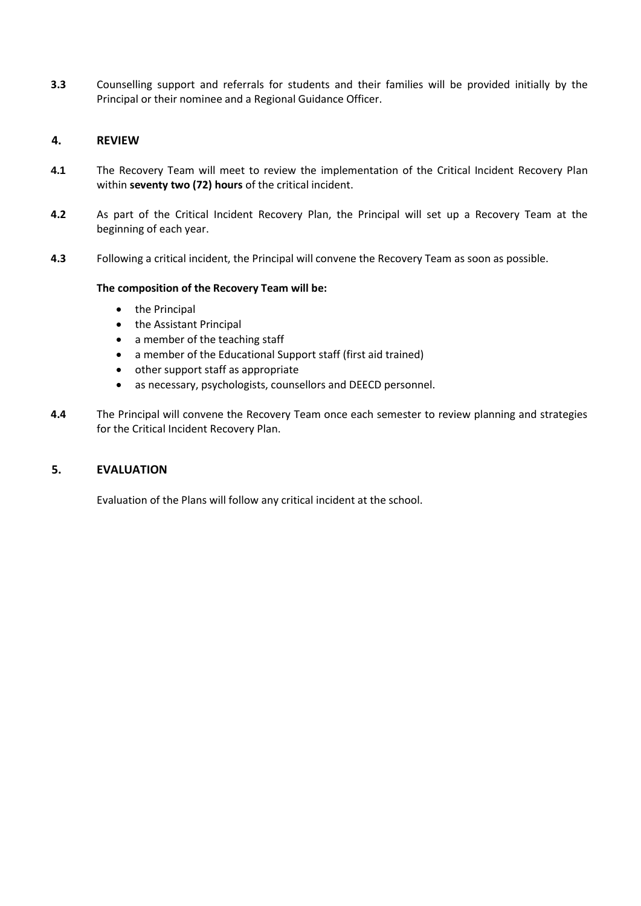**3.3** Counselling support and referrals for students and their families will be provided initially by the Principal or their nominee and a Regional Guidance Officer.

#### **4. REVIEW**

- **4.1** The Recovery Team will meet to review the implementation of the Critical Incident Recovery Plan within **seventy two (72) hours** of the critical incident.
- **4.2** As part of the Critical Incident Recovery Plan, the Principal will set up a Recovery Team at the beginning of each year.
- **4.3** Following a critical incident, the Principal will convene the Recovery Team as soon as possible.

#### **The composition of the Recovery Team will be:**

- the Principal
- the Assistant Principal
- a member of the teaching staff
- a member of the Educational Support staff (first aid trained)
- other support staff as appropriate
- as necessary, psychologists, counsellors and DEECD personnel.
- **4.4** The Principal will convene the Recovery Team once each semester to review planning and strategies for the Critical Incident Recovery Plan.

#### **5. EVALUATION**

Evaluation of the Plans will follow any critical incident at the school.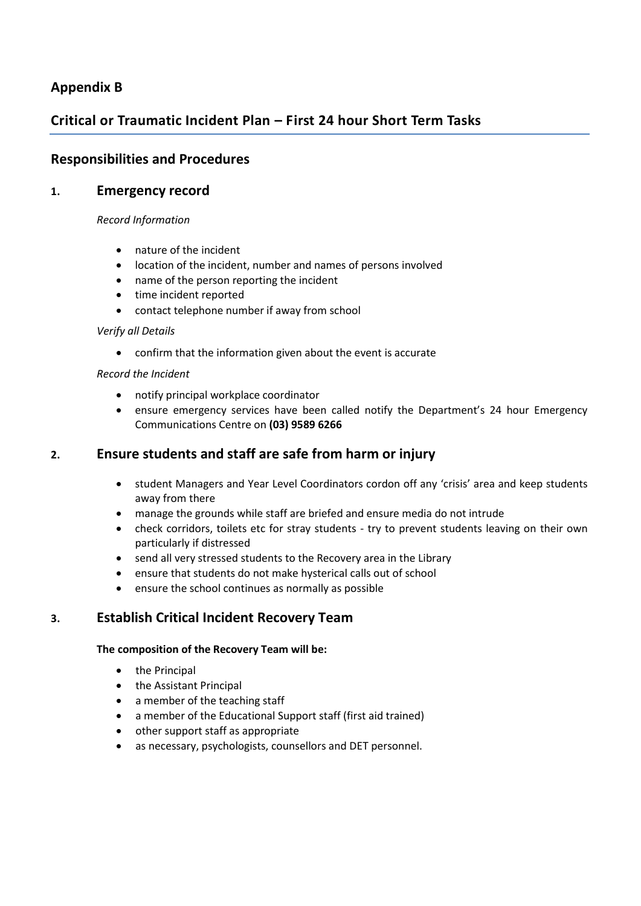# **Appendix B**

# **Critical or Traumatic Incident Plan – First 24 hour Short Term Tasks**

# **Responsibilities and Procedures**

## **1. Emergency record**

#### *Record Information*

- nature of the incident
- location of the incident, number and names of persons involved
- name of the person reporting the incident
- time incident reported
- contact telephone number if away from school

#### *Verify all Details*

confirm that the information given about the event is accurate

#### *Record the Incident*

- notify principal workplace coordinator
- ensure emergency services have been called notify the Department's 24 hour Emergency Communications Centre on **(03) 9589 6266**

# **2. Ensure students and staff are safe from harm or injury**

- student Managers and Year Level Coordinators cordon off any 'crisis' area and keep students away from there
- manage the grounds while staff are briefed and ensure media do not intrude
- check corridors, toilets etc for stray students try to prevent students leaving on their own particularly if distressed
- send all very stressed students to the Recovery area in the Library
- ensure that students do not make hysterical calls out of school
- ensure the school continues as normally as possible

# **3. Establish Critical Incident Recovery Team**

#### **The composition of the Recovery Team will be:**

- the Principal
- the Assistant Principal
- a member of the teaching staff
- a member of the Educational Support staff (first aid trained)
- other support staff as appropriate
- as necessary, psychologists, counsellors and DET personnel.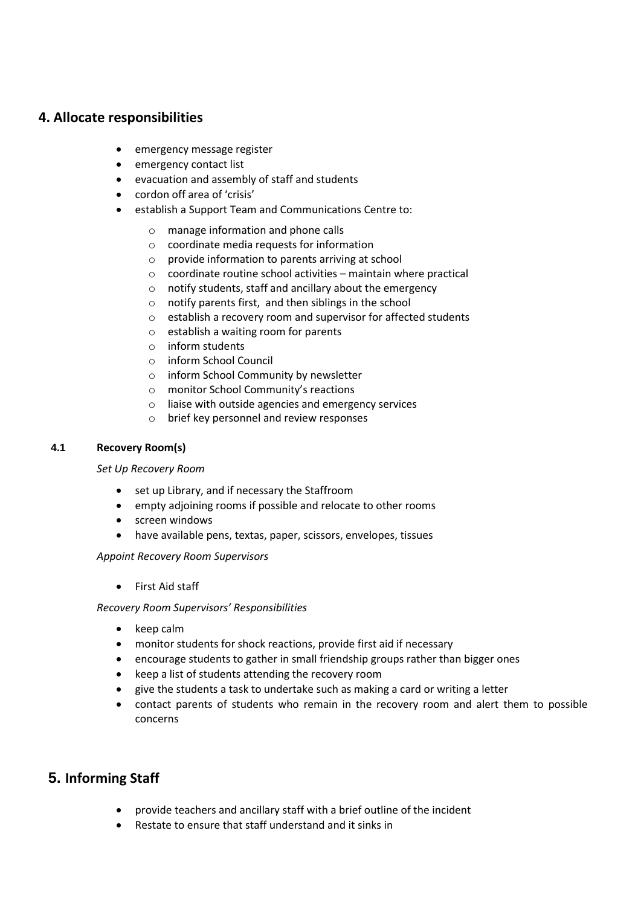## **4. Allocate responsibilities**

- emergency message register
- emergency contact list
- evacuation and assembly of staff and students
- cordon off area of 'crisis'
- establish a Support Team and Communications Centre to:
	- o manage information and phone calls
	- o coordinate media requests for information
	- o provide information to parents arriving at school
	- o coordinate routine school activities maintain where practical
	- o notify students, staff and ancillary about the emergency
	- o notify parents first, and then siblings in the school
	- o establish a recovery room and supervisor for affected students
	- o establish a waiting room for parents
	- o inform students
	- o inform School Council
	- o inform School Community by newsletter
	- o monitor School Community's reactions
	- o liaise with outside agencies and emergency services
	- o brief key personnel and review responses

#### **4.1 Recovery Room(s)**

#### *Set Up Recovery Room*

- set up Library, and if necessary the Staffroom
- empty adjoining rooms if possible and relocate to other rooms
- screen windows
- have available pens, textas, paper, scissors, envelopes, tissues

*Appoint Recovery Room Supervisors*

First Aid staff

#### *Recovery Room Supervisors' Responsibilities*

- keep calm
- monitor students for shock reactions, provide first aid if necessary
- encourage students to gather in small friendship groups rather than bigger ones
- keep a list of students attending the recovery room
- give the students a task to undertake such as making a card or writing a letter
- contact parents of students who remain in the recovery room and alert them to possible concerns

# **5. Informing Staff**

- provide teachers and ancillary staff with a brief outline of the incident
- Restate to ensure that staff understand and it sinks in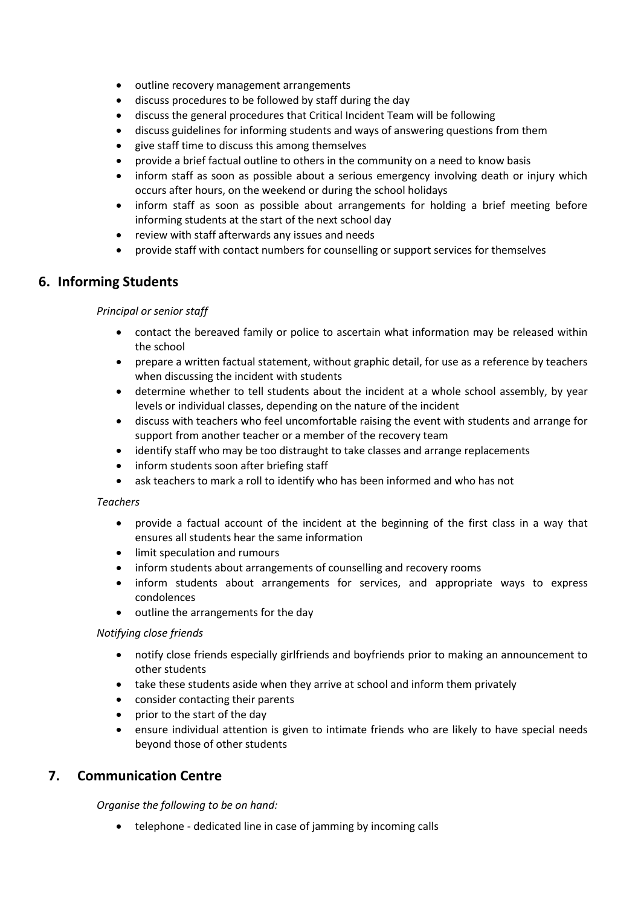- outline recovery management arrangements
- discuss procedures to be followed by staff during the day
- discuss the general procedures that Critical Incident Team will be following
- discuss guidelines for informing students and ways of answering questions from them
- give staff time to discuss this among themselves
- provide a brief factual outline to others in the community on a need to know basis
- inform staff as soon as possible about a serious emergency involving death or injury which occurs after hours, on the weekend or during the school holidays
- inform staff as soon as possible about arrangements for holding a brief meeting before informing students at the start of the next school day
- review with staff afterwards any issues and needs
- provide staff with contact numbers for counselling or support services for themselves

# **6. Informing Students**

## *Principal or senior staff*

- contact the bereaved family or police to ascertain what information may be released within the school
- prepare a written factual statement, without graphic detail, for use as a reference by teachers when discussing the incident with students
- determine whether to tell students about the incident at a whole school assembly, by year levels or individual classes, depending on the nature of the incident
- discuss with teachers who feel uncomfortable raising the event with students and arrange for support from another teacher or a member of the recovery team
- identify staff who may be too distraught to take classes and arrange replacements
- inform students soon after briefing staff
- ask teachers to mark a roll to identify who has been informed and who has not

## *Teachers*

- provide a factual account of the incident at the beginning of the first class in a way that ensures all students hear the same information
- limit speculation and rumours
- inform students about arrangements of counselling and recovery rooms
- inform students about arrangements for services, and appropriate ways to express condolences
- outline the arrangements for the day

## *Notifying close friends*

- notify close friends especially girlfriends and boyfriends prior to making an announcement to other students
- take these students aside when they arrive at school and inform them privately
- consider contacting their parents
- prior to the start of the day
- ensure individual attention is given to intimate friends who are likely to have special needs beyond those of other students

# **7. Communication Centre**

*Organise the following to be on hand:*

telephone - dedicated line in case of jamming by incoming calls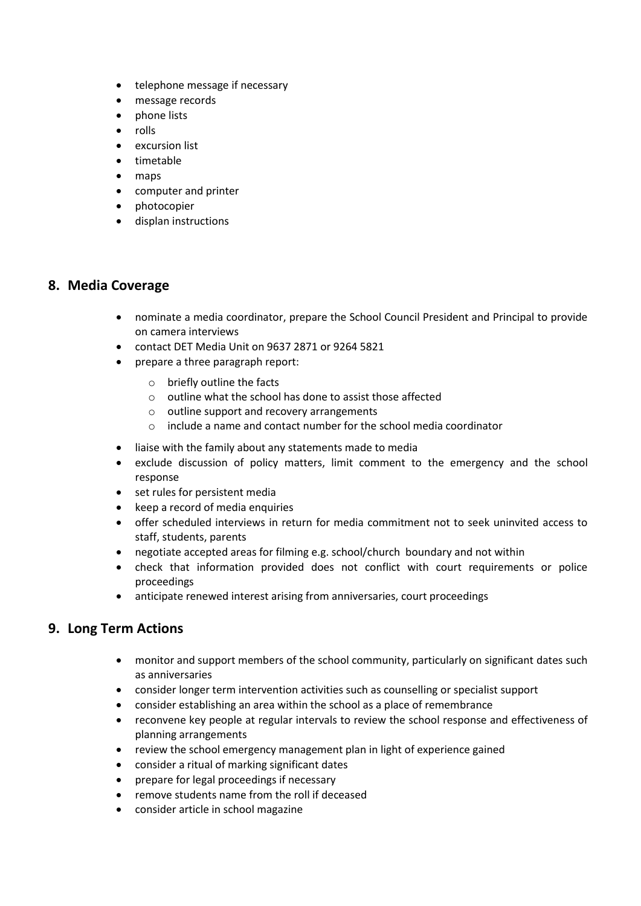- telephone message if necessary
- message records
- phone lists
- rolls
- excursion list
- timetable
- maps
- computer and printer
- photocopier
- displan instructions

# **8. Media Coverage**

- nominate a media coordinator, prepare the School Council President and Principal to provide on camera interviews
- contact DET Media Unit on 9637 2871 or 9264 5821
- prepare a three paragraph report:
	- o briefly outline the facts
	- o outline what the school has done to assist those affected
	- o outline support and recovery arrangements
	- o include a name and contact number for the school media coordinator
- liaise with the family about any statements made to media
- exclude discussion of policy matters, limit comment to the emergency and the school response
- set rules for persistent media
- keep a record of media enquiries
- offer scheduled interviews in return for media commitment not to seek uninvited access to staff, students, parents
- negotiate accepted areas for filming e.g. school/church boundary and not within
- check that information provided does not conflict with court requirements or police proceedings
- anticipate renewed interest arising from anniversaries, court proceedings

# **9. Long Term Actions**

- monitor and support members of the school community, particularly on significant dates such as anniversaries
- consider longer term intervention activities such as counselling or specialist support
- consider establishing an area within the school as a place of remembrance
- reconvene key people at regular intervals to review the school response and effectiveness of planning arrangements
- review the school emergency management plan in light of experience gained
- consider a ritual of marking significant dates
- prepare for legal proceedings if necessary
- remove students name from the roll if deceased
- consider article in school magazine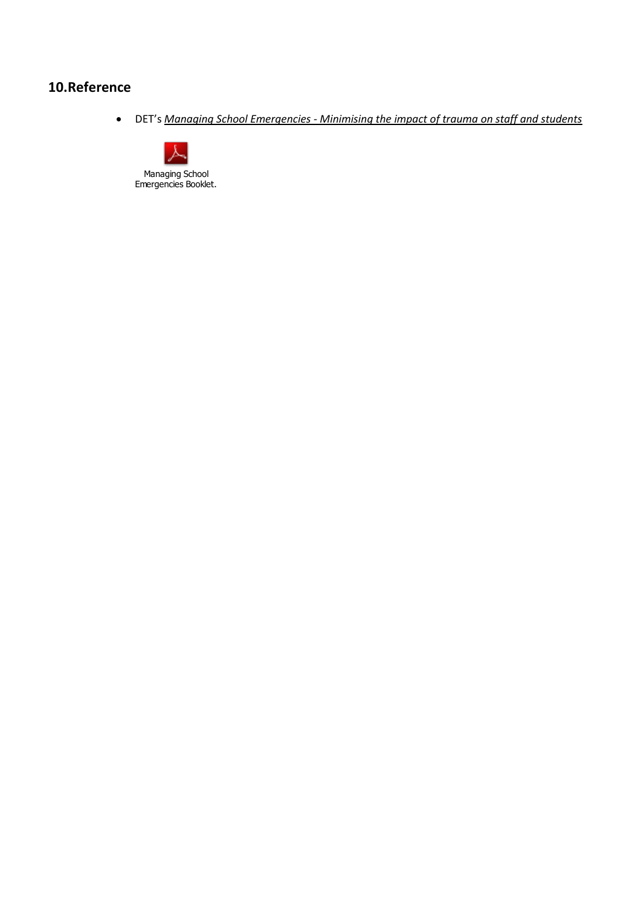# **10.Reference**

DET's *Managing School Emergencies - [Minimising the impact of trauma on staff and students](http://www.eduweb.vic.gov.au/edulibrary/public/emerman/manageschlemerg.pdf#http://www.eduweb.vic.gov.au/edulibrary/public/emerman/manageschlemerg.pdf)*

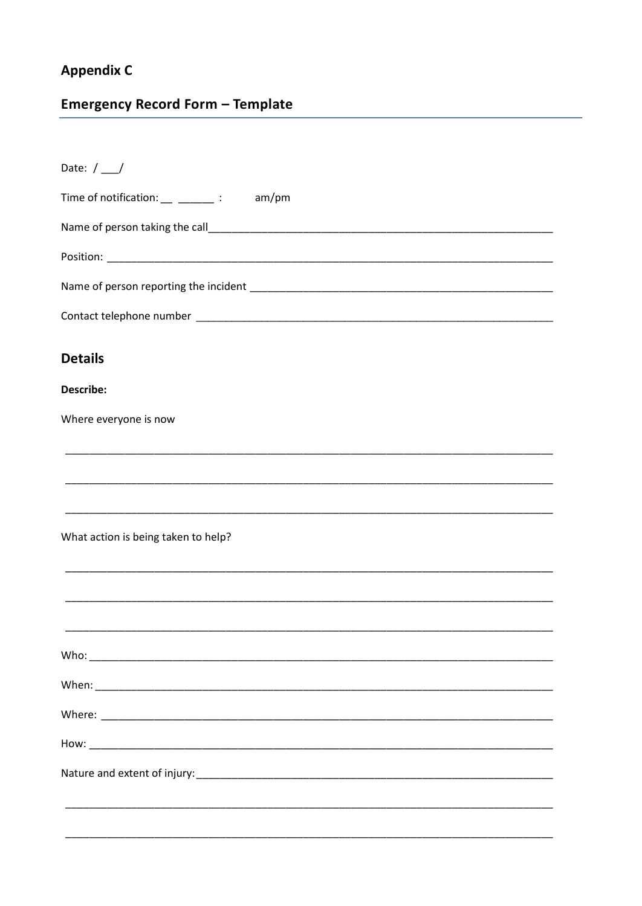# **Appendix C**

# **Emergency Record Form - Template**

| Date: $/$ /                               |
|-------------------------------------------|
| Time of notification: ____________: am/pm |
|                                           |
|                                           |
|                                           |
|                                           |
| <b>Details</b>                            |
| <b>Describe:</b>                          |
| Where everyone is now                     |
|                                           |
|                                           |
|                                           |
| What action is being taken to help?       |
|                                           |
|                                           |
|                                           |
|                                           |
|                                           |
|                                           |
|                                           |
|                                           |
|                                           |
|                                           |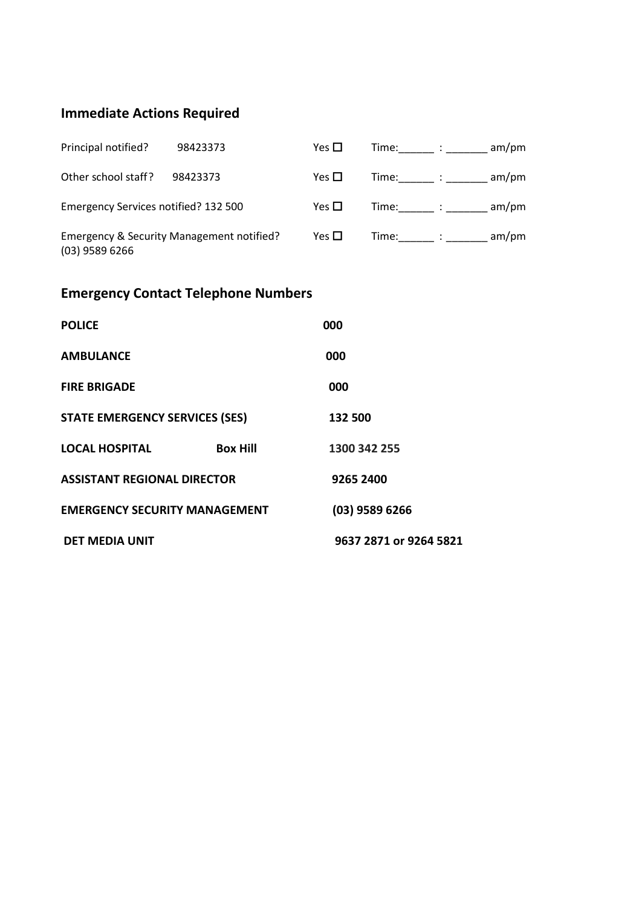# **Immediate Actions Required**

| Principal notified?                                           | 98423373 | Yes $\Box$ | Time: :              | am/pm |
|---------------------------------------------------------------|----------|------------|----------------------|-------|
| Other school staff?                                           | 98423373 | Yes $\Box$ | $Time:$ : $\qquad$ : | am/pm |
| Emergency Services notified? 132 500                          |          | Yes $\Box$ | $Time:$ $\qquad$ :   | am/pm |
| Emergency & Security Management notified?<br>$(03)$ 9589 6266 |          | Yes $\Box$ | $Time:$ : $\qquad$ : | am/m  |

# **Emergency Contact Telephone Numbers**

| <b>POLICE</b>                         |                 | 000                    |
|---------------------------------------|-----------------|------------------------|
| <b>AMBULANCE</b>                      |                 | 000                    |
| <b>FIRE BRIGADE</b>                   |                 | 000                    |
| <b>STATE EMERGENCY SERVICES (SES)</b> |                 | 132 500                |
| <b>LOCAL HOSPITAL</b>                 | <b>Box Hill</b> | 1300 342 255           |
| <b>ASSISTANT REGIONAL DIRECTOR</b>    |                 | 9265 2400              |
| <b>EMERGENCY SECURITY MANAGEMENT</b>  |                 | $(03)$ 9589 6266       |
| <b>DET MEDIA UNIT</b>                 |                 | 9637 2871 or 9264 5821 |